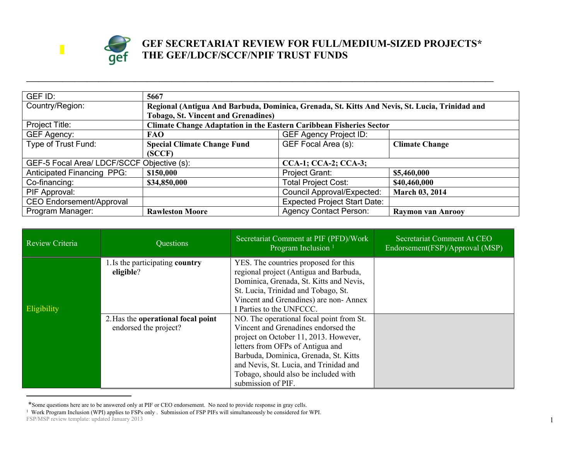

## **GEF SECRETARIAT REVIEW FOR FULL/MEDIUM-SIZED PROJECTS\* THE GEF/LDCF/SCCF/NPIF TRUST FUNDS**

| GEF ID:                                    | 5667                                                                       |                                                                                                |                          |  |
|--------------------------------------------|----------------------------------------------------------------------------|------------------------------------------------------------------------------------------------|--------------------------|--|
| Country/Region:                            |                                                                            | Regional (Antigua And Barbuda, Dominica, Grenada, St. Kitts And Nevis, St. Lucia, Trinidad and |                          |  |
|                                            | <b>Tobago, St. Vincent and Grenadines)</b>                                 |                                                                                                |                          |  |
| Project Title:                             | <b>Climate Change Adaptation in the Eastern Caribbean Fisheries Sector</b> |                                                                                                |                          |  |
| GEF Agency:                                | <b>FAO</b>                                                                 | <b>GEF Agency Project ID:</b>                                                                  |                          |  |
| Type of Trust Fund:                        | <b>Special Climate Change Fund</b>                                         | GEF Focal Area (s):                                                                            | <b>Climate Change</b>    |  |
|                                            | (SCCF)                                                                     |                                                                                                |                          |  |
| GEF-5 Focal Area/ LDCF/SCCF Objective (s): |                                                                            | <b>CCA-1; CCA-2; CCA-3;</b>                                                                    |                          |  |
| <b>Anticipated Financing PPG:</b>          | \$150,000                                                                  | Project Grant:                                                                                 | \$5,460,000              |  |
| Co-financing:                              | \$34,850,000                                                               | <b>Total Project Cost:</b>                                                                     | \$40,460,000             |  |
| PIF Approval:                              |                                                                            | <b>Council Approval/Expected:</b>                                                              | <b>March 03, 2014</b>    |  |
| <b>CEO Endorsement/Approval</b>            |                                                                            | <b>Expected Project Start Date:</b>                                                            |                          |  |
| Program Manager:                           | <b>Rawleston Moore</b>                                                     | <b>Agency Contact Person:</b>                                                                  | <b>Raymon van Anrooy</b> |  |

**\_\_\_\_\_\_\_\_\_\_\_\_\_\_\_\_\_\_\_\_\_\_\_\_\_\_\_\_\_\_\_\_\_\_\_\_\_\_\_\_\_\_\_\_\_\_\_\_\_\_\_\_\_\_\_\_\_\_\_\_\_\_\_\_\_\_\_\_\_\_\_\_\_\_\_\_\_\_\_\_\_\_\_\_\_\_\_\_\_\_\_\_\_\_\_\_\_\_\_\_\_\_\_\_\_\_\_\_\_\_\_\_\_\_\_\_**

| <b>Review Criteria</b> | Questions                                                   | Secretariat Comment at PIF (PFD)/Work<br>Program Inclusion <sup>1</sup>                                                                                                                                                                                                                                       | Secretariat Comment At CEO<br>Endorsement(FSP)/Approval (MSP) |
|------------------------|-------------------------------------------------------------|---------------------------------------------------------------------------------------------------------------------------------------------------------------------------------------------------------------------------------------------------------------------------------------------------------------|---------------------------------------------------------------|
| <b>Eligibility</b>     | 1. Is the participating country<br>eligible?                | YES. The countries proposed for this<br>regional project (Antigua and Barbuda,<br>Dominica, Grenada, St. Kitts and Nevis,<br>St. Lucia, Trinidad and Tobago, St.<br>Vincent and Grenadines) are non-Annex<br>I Parties to the UNFCCC.                                                                         |                                                               |
|                        | 2. Has the operational focal point<br>endorsed the project? | NO. The operational focal point from St.<br>Vincent and Grenadines endorsed the<br>project on October 11, 2013. However,<br>letters from OFPs of Antigua and<br>Barbuda, Dominica, Grenada, St. Kitts<br>and Nevis, St. Lucia, and Trinidad and<br>Tobago, should also be included with<br>submission of PIF. |                                                               |

<sup>\*</sup>Some questions here are to be answered only at PIF or CEO endorsement. No need to provide response in gray cells.

FSP/MSP review template: updated January 2013 1 Work Program Inclusion (WPI) applies to FSPs only . Submission of FSP PIFs will simultaneously be considered for WPI.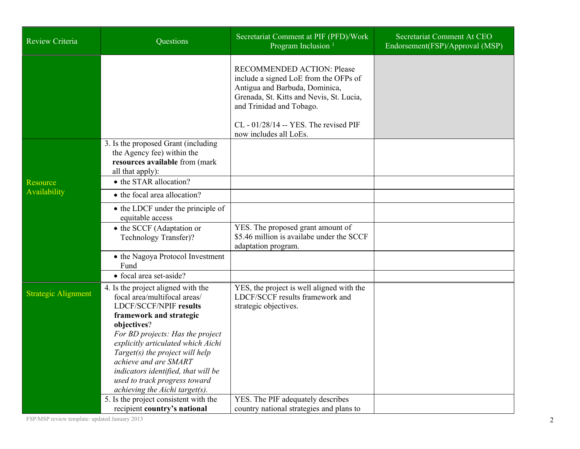| Review Criteria                 | Questions                                                                                                                                                                                                                                                                                                                                                                                     | Secretariat Comment at PIF (PFD)/Work<br>Program Inclusion <sup>1</sup>                                                                                                                                                                                   | Secretariat Comment At CEO<br>Endorsement(FSP)/Approval (MSP) |
|---------------------------------|-----------------------------------------------------------------------------------------------------------------------------------------------------------------------------------------------------------------------------------------------------------------------------------------------------------------------------------------------------------------------------------------------|-----------------------------------------------------------------------------------------------------------------------------------------------------------------------------------------------------------------------------------------------------------|---------------------------------------------------------------|
|                                 |                                                                                                                                                                                                                                                                                                                                                                                               | <b>RECOMMENDED ACTION: Please</b><br>include a signed LoE from the OFPs of<br>Antigua and Barbuda, Dominica,<br>Grenada, St. Kitts and Nevis, St. Lucia,<br>and Trinidad and Tobago.<br>$CL - 01/28/14 - YES$ . The revised PIF<br>now includes all LoEs. |                                                               |
|                                 | 3. Is the proposed Grant (including)<br>the Agency fee) within the<br>resources available from (mark<br>all that apply):                                                                                                                                                                                                                                                                      |                                                                                                                                                                                                                                                           |                                                               |
| <b>Resource</b><br>Availability | • the STAR allocation?<br>• the focal area allocation?                                                                                                                                                                                                                                                                                                                                        |                                                                                                                                                                                                                                                           |                                                               |
|                                 | • the LDCF under the principle of<br>equitable access                                                                                                                                                                                                                                                                                                                                         |                                                                                                                                                                                                                                                           |                                                               |
|                                 | • the SCCF (Adaptation or<br>Technology Transfer)?                                                                                                                                                                                                                                                                                                                                            | YES. The proposed grant amount of<br>\$5.46 million is availabe under the SCCF<br>adaptation program.                                                                                                                                                     |                                                               |
|                                 | • the Nagoya Protocol Investment<br>Fund                                                                                                                                                                                                                                                                                                                                                      |                                                                                                                                                                                                                                                           |                                                               |
|                                 | • focal area set-aside?                                                                                                                                                                                                                                                                                                                                                                       |                                                                                                                                                                                                                                                           |                                                               |
| <b>Strategic Alignment</b>      | 4. Is the project aligned with the<br>focal area/multifocal areas/<br><b>LDCF/SCCF/NPIF results</b><br>framework and strategic<br>objectives?<br>For BD projects: Has the project<br>explicitly articulated which Aichi<br>Target(s) the project will help<br>achieve and are SMART<br>indicators identified, that will be<br>used to track progress toward<br>achieving the Aichi target(s). | YES, the project is well aligned with the<br>LDCF/SCCF results framework and<br>strategic objectives.                                                                                                                                                     |                                                               |
|                                 | 5. Is the project consistent with the<br>recipient country's national                                                                                                                                                                                                                                                                                                                         | YES. The PIF adequately describes<br>country national strategies and plans to                                                                                                                                                                             |                                                               |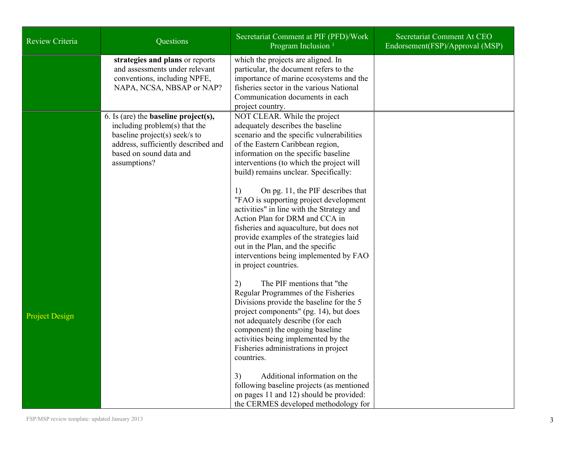| Review Criteria       | Questions                                                                                                                                                                                          | Secretariat Comment at PIF (PFD)/Work<br>Program Inclusion <sup>1</sup>                                                                                                                                                                                                                                                                                                                                                                                                                                                                                                                                                                                                                                                                                                                                                                                                                                                                                                                 | Secretariat Comment At CEO<br>Endorsement(FSP)/Approval (MSP) |
|-----------------------|----------------------------------------------------------------------------------------------------------------------------------------------------------------------------------------------------|-----------------------------------------------------------------------------------------------------------------------------------------------------------------------------------------------------------------------------------------------------------------------------------------------------------------------------------------------------------------------------------------------------------------------------------------------------------------------------------------------------------------------------------------------------------------------------------------------------------------------------------------------------------------------------------------------------------------------------------------------------------------------------------------------------------------------------------------------------------------------------------------------------------------------------------------------------------------------------------------|---------------------------------------------------------------|
|                       | strategies and plans or reports<br>and assessments under relevant<br>conventions, including NPFE,<br>NAPA, NCSA, NBSAP or NAP?                                                                     | which the projects are aligned. In<br>particular, the document refers to the<br>importance of marine ecosystems and the<br>fisheries sector in the various National<br>Communication documents in each<br>project country.                                                                                                                                                                                                                                                                                                                                                                                                                                                                                                                                                                                                                                                                                                                                                              |                                                               |
| <b>Project Design</b> | 6. Is (are) the <b>baseline</b> $project(s)$ ,<br>including problem(s) that the<br>baseline project(s) seek/s to<br>address, sufficiently described and<br>based on sound data and<br>assumptions? | NOT CLEAR. While the project<br>adequately describes the baseline<br>scenario and the specific vulnerabilities<br>of the Eastern Caribbean region,<br>information on the specific baseline<br>interventions (to which the project will<br>build) remains unclear. Specifically:<br>On pg. 11, the PIF describes that<br>1)<br>"FAO is supporting project development<br>activities" in line with the Strategy and<br>Action Plan for DRM and CCA in<br>fisheries and aquaculture, but does not<br>provide examples of the strategies laid<br>out in the Plan, and the specific<br>interventions being implemented by FAO<br>in project countries.<br>The PIF mentions that "the<br>2)<br>Regular Programmes of the Fisheries<br>Divisions provide the baseline for the 5<br>project components" (pg. 14), but does<br>not adequately describe (for each<br>component) the ongoing baseline<br>activities being implemented by the<br>Fisheries administrations in project<br>countries. |                                                               |
|                       |                                                                                                                                                                                                    | Additional information on the<br>3)<br>following baseline projects (as mentioned<br>on pages 11 and 12) should be provided:<br>the CERMES developed methodology for                                                                                                                                                                                                                                                                                                                                                                                                                                                                                                                                                                                                                                                                                                                                                                                                                     |                                                               |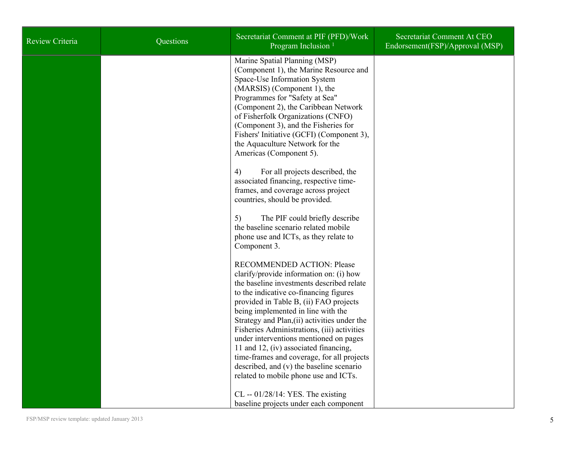| Review Criteria | Questions | Secretariat Comment at PIF (PFD)/Work<br>Program Inclusion <sup>1</sup>                                                                                                                                                                                                                                                                                                                                   | Secretariat Comment At CEO<br>Endorsement(FSP)/Approval (MSP) |
|-----------------|-----------|-----------------------------------------------------------------------------------------------------------------------------------------------------------------------------------------------------------------------------------------------------------------------------------------------------------------------------------------------------------------------------------------------------------|---------------------------------------------------------------|
|                 |           | Marine Spatial Planning (MSP)<br>(Component 1), the Marine Resource and<br>Space-Use Information System<br>(MARSIS) (Component 1), the<br>Programmes for "Safety at Sea"<br>(Component 2), the Caribbean Network<br>of Fisherfolk Organizations (CNFO)<br>(Component 3), and the Fisheries for<br>Fishers' Initiative (GCFI) (Component 3),<br>the Aquaculture Network for the<br>Americas (Component 5). |                                                               |
|                 |           | For all projects described, the<br>4)<br>associated financing, respective time-<br>frames, and coverage across project<br>countries, should be provided.                                                                                                                                                                                                                                                  |                                                               |
|                 |           | The PIF could briefly describe<br>5)<br>the baseline scenario related mobile<br>phone use and ICTs, as they relate to<br>Component 3.                                                                                                                                                                                                                                                                     |                                                               |
|                 |           | RECOMMENDED ACTION: Please<br>clarify/provide information on: (i) how<br>the baseline investments described relate<br>to the indicative co-financing figures<br>provided in Table B, (ii) FAO projects<br>being implemented in line with the<br>Strategy and Plan, (ii) activities under the<br>Fisheries Administrations, (iii) activities<br>under interventions mentioned on pages                     |                                                               |
|                 |           | 11 and 12, (iv) associated financing,<br>time-frames and coverage, for all projects<br>described, and (v) the baseline scenario<br>related to mobile phone use and ICTs.<br>$CL - 01/28/14$ : YES. The existing<br>baseline projects under each component                                                                                                                                                 |                                                               |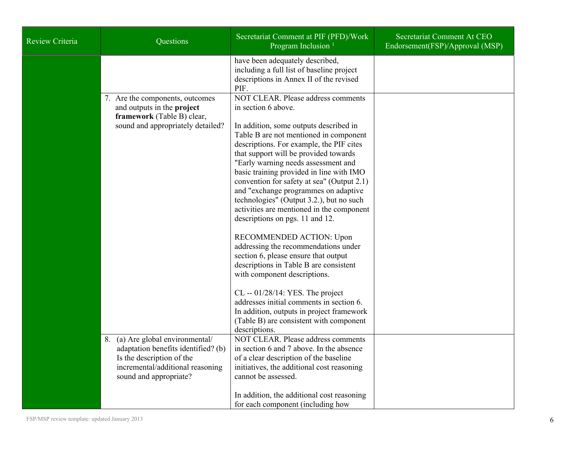| Review Criteria | Questions                                                                                                                                                            | Secretariat Comment at PIF (PFD)/Work<br>Program Inclusion <sup>1</sup>                                                                                                                                                                                                                                                                                                                                                                                                                                                                                                                                                                                                                                                                                                                                                                                                                                                                                        | Secretariat Comment At CEO<br>Endorsement(FSP)/Approval (MSP) |
|-----------------|----------------------------------------------------------------------------------------------------------------------------------------------------------------------|----------------------------------------------------------------------------------------------------------------------------------------------------------------------------------------------------------------------------------------------------------------------------------------------------------------------------------------------------------------------------------------------------------------------------------------------------------------------------------------------------------------------------------------------------------------------------------------------------------------------------------------------------------------------------------------------------------------------------------------------------------------------------------------------------------------------------------------------------------------------------------------------------------------------------------------------------------------|---------------------------------------------------------------|
|                 |                                                                                                                                                                      | have been adequately described,<br>including a full list of baseline project<br>descriptions in Annex II of the revised<br>PIF.                                                                                                                                                                                                                                                                                                                                                                                                                                                                                                                                                                                                                                                                                                                                                                                                                                |                                                               |
|                 | 7. Are the components, outcomes<br>and outputs in the project<br>framework (Table B) clear,<br>sound and appropriately detailed?<br>8. (a) Are global environmental/ | NOT CLEAR. Please address comments<br>in section 6 above.<br>In addition, some outputs described in<br>Table B are not mentioned in component<br>descriptions. For example, the PIF cites<br>that support will be provided towards<br>"Early warning needs assessment and<br>basic training provided in line with IMO<br>convention for safety at sea" (Output 2.1)<br>and "exchange programmes on adaptive<br>technologies" (Output 3.2.), but no such<br>activities are mentioned in the component<br>descriptions on pgs. 11 and 12.<br>RECOMMENDED ACTION: Upon<br>addressing the recommendations under<br>section 6, please ensure that output<br>descriptions in Table B are consistent<br>with component descriptions.<br>$CL - 01/28/14$ : YES. The project<br>addresses initial comments in section 6.<br>In addition, outputs in project framework<br>(Table B) are consistent with component<br>descriptions.<br>NOT CLEAR. Please address comments |                                                               |
|                 | adaptation benefits identified? (b)<br>Is the description of the<br>incremental/additional reasoning<br>sound and appropriate?                                       | in section 6 and 7 above. In the absence<br>of a clear description of the baseline<br>initiatives, the additional cost reasoning<br>cannot be assessed.<br>In addition, the additional cost reasoning<br>for each component (including how                                                                                                                                                                                                                                                                                                                                                                                                                                                                                                                                                                                                                                                                                                                     |                                                               |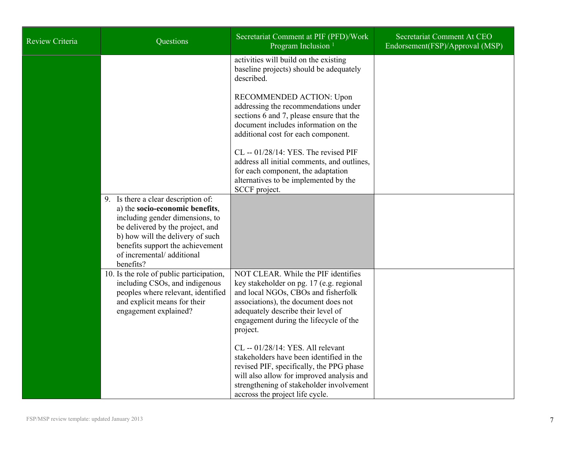| <b>Review Criteria</b> | Questions                                                                                                                                                                                                                                                       | Secretariat Comment at PIF (PFD)/Work<br>Program Inclusion <sup>1</sup>                                                                                                                                                                                    | Secretariat Comment At CEO<br>Endorsement(FSP)/Approval (MSP) |
|------------------------|-----------------------------------------------------------------------------------------------------------------------------------------------------------------------------------------------------------------------------------------------------------------|------------------------------------------------------------------------------------------------------------------------------------------------------------------------------------------------------------------------------------------------------------|---------------------------------------------------------------|
|                        |                                                                                                                                                                                                                                                                 | activities will build on the existing<br>baseline projects) should be adequately<br>described.                                                                                                                                                             |                                                               |
|                        |                                                                                                                                                                                                                                                                 | RECOMMENDED ACTION: Upon<br>addressing the recommendations under<br>sections 6 and 7, please ensure that the<br>document includes information on the<br>additional cost for each component.                                                                |                                                               |
|                        |                                                                                                                                                                                                                                                                 | $CL - 01/28/14$ : YES. The revised PIF<br>address all initial comments, and outlines,<br>for each component, the adaptation<br>alternatives to be implemented by the<br>SCCF project.                                                                      |                                                               |
|                        | 9. Is there a clear description of:<br>a) the socio-economic benefits,<br>including gender dimensions, to<br>be delivered by the project, and<br>b) how will the delivery of such<br>benefits support the achievement<br>of incremental/additional<br>benefits? |                                                                                                                                                                                                                                                            |                                                               |
|                        | 10. Is the role of public participation,<br>including CSOs, and indigenous<br>peoples where relevant, identified<br>and explicit means for their<br>engagement explained?                                                                                       | NOT CLEAR. While the PIF identifies<br>key stakeholder on pg. 17 (e.g. regional<br>and local NGOs, CBOs and fisherfolk<br>associations), the document does not<br>adequately describe their level of<br>engagement during the lifecycle of the<br>project. |                                                               |
|                        |                                                                                                                                                                                                                                                                 | CL -- 01/28/14: YES. All relevant<br>stakeholders have been identified in the<br>revised PIF, specifically, the PPG phase<br>will also allow for improved analysis and<br>strengthening of stakeholder involvement<br>accross the project life cycle.      |                                                               |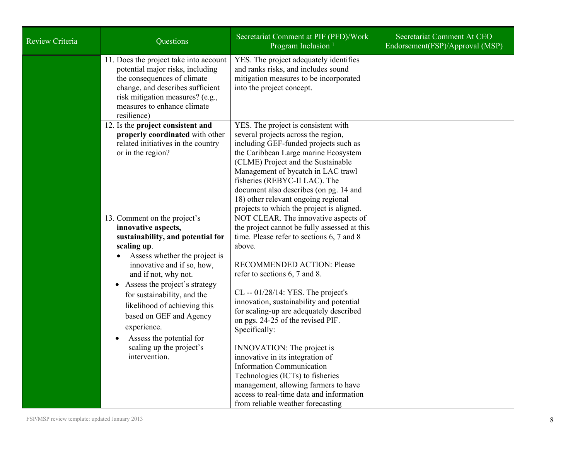| <b>Review Criteria</b> | Questions                                                                                                                                                                                                                                                                                                                                                                                                                      | Secretariat Comment at PIF (PFD)/Work<br>Program Inclusion <sup>1</sup>                                                                                                                                                                                                                                                                                                                                                                                                                                                                                                                                                                                                   | Secretariat Comment At CEO<br>Endorsement(FSP)/Approval (MSP) |
|------------------------|--------------------------------------------------------------------------------------------------------------------------------------------------------------------------------------------------------------------------------------------------------------------------------------------------------------------------------------------------------------------------------------------------------------------------------|---------------------------------------------------------------------------------------------------------------------------------------------------------------------------------------------------------------------------------------------------------------------------------------------------------------------------------------------------------------------------------------------------------------------------------------------------------------------------------------------------------------------------------------------------------------------------------------------------------------------------------------------------------------------------|---------------------------------------------------------------|
|                        | 11. Does the project take into account<br>potential major risks, including<br>the consequences of climate<br>change, and describes sufficient<br>risk mitigation measures? (e.g.,<br>measures to enhance climate<br>resilience)                                                                                                                                                                                                | YES. The project adequately identifies<br>and ranks risks, and includes sound<br>mitigation measures to be incorporated<br>into the project concept.                                                                                                                                                                                                                                                                                                                                                                                                                                                                                                                      |                                                               |
|                        | 12. Is the project consistent and<br>properly coordinated with other<br>related initiatives in the country<br>or in the region?                                                                                                                                                                                                                                                                                                | YES. The project is consistent with<br>several projects across the region,<br>including GEF-funded projects such as<br>the Caribbean Large marine Ecosystem<br>(CLME) Project and the Sustainable<br>Management of bycatch in LAC trawl<br>fisheries (REBYC-II LAC). The<br>document also describes (on pg. 14 and<br>18) other relevant ongoing regional<br>projects to which the project is aligned.                                                                                                                                                                                                                                                                    |                                                               |
|                        | 13. Comment on the project's<br>innovative aspects,<br>sustainability, and potential for<br>scaling up.<br>Assess whether the project is<br>innovative and if so, how,<br>and if not, why not.<br>Assess the project's strategy<br>$\bullet$<br>for sustainability, and the<br>likelihood of achieving this<br>based on GEF and Agency<br>experience.<br>Assess the potential for<br>scaling up the project's<br>intervention. | NOT CLEAR. The innovative aspects of<br>the project cannot be fully assessed at this<br>time. Please refer to sections 6, 7 and 8<br>above.<br><b>RECOMMENDED ACTION: Please</b><br>refer to sections 6, 7 and 8.<br>$CL - 01/28/14$ : YES. The project's<br>innovation, sustainability and potential<br>for scaling-up are adequately described<br>on pgs. 24-25 of the revised PIF.<br>Specifically:<br>INNOVATION: The project is<br>innovative in its integration of<br><b>Information Communication</b><br>Technologies (ICTs) to fisheries<br>management, allowing farmers to have<br>access to real-time data and information<br>from reliable weather forecasting |                                                               |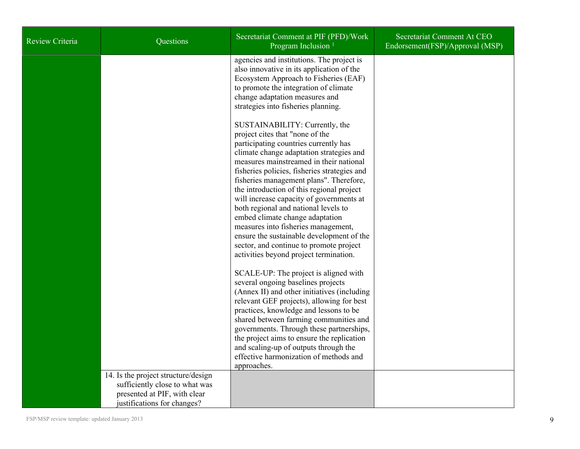| <b>Review Criteria</b> | Questions                                                                                                                            | Secretariat Comment at PIF (PFD)/Work<br>Program Inclusion <sup>1</sup>                                                                                                                                                                                                                                                                                                                                                                                                                                                                                                                                                                   | Secretariat Comment At CEO<br>Endorsement(FSP)/Approval (MSP) |
|------------------------|--------------------------------------------------------------------------------------------------------------------------------------|-------------------------------------------------------------------------------------------------------------------------------------------------------------------------------------------------------------------------------------------------------------------------------------------------------------------------------------------------------------------------------------------------------------------------------------------------------------------------------------------------------------------------------------------------------------------------------------------------------------------------------------------|---------------------------------------------------------------|
|                        |                                                                                                                                      | agencies and institutions. The project is<br>also innovative in its application of the<br>Ecosystem Approach to Fisheries (EAF)<br>to promote the integration of climate<br>change adaptation measures and<br>strategies into fisheries planning.                                                                                                                                                                                                                                                                                                                                                                                         |                                                               |
|                        |                                                                                                                                      | SUSTAINABILITY: Currently, the<br>project cites that "none of the<br>participating countries currently has<br>climate change adaptation strategies and<br>measures mainstreamed in their national<br>fisheries policies, fisheries strategies and<br>fisheries management plans". Therefore,<br>the introduction of this regional project<br>will increase capacity of governments at<br>both regional and national levels to<br>embed climate change adaptation<br>measures into fisheries management,<br>ensure the sustainable development of the<br>sector, and continue to promote project<br>activities beyond project termination. |                                                               |
|                        |                                                                                                                                      | SCALE-UP: The project is aligned with<br>several ongoing baselines projects<br>(Annex II) and other initiatives (including<br>relevant GEF projects), allowing for best<br>practices, knowledge and lessons to be<br>shared between farming communities and<br>governments. Through these partnerships,<br>the project aims to ensure the replication<br>and scaling-up of outputs through the<br>effective harmonization of methods and<br>approaches.                                                                                                                                                                                   |                                                               |
|                        | 14. Is the project structure/design<br>sufficiently close to what was<br>presented at PIF, with clear<br>justifications for changes? |                                                                                                                                                                                                                                                                                                                                                                                                                                                                                                                                                                                                                                           |                                                               |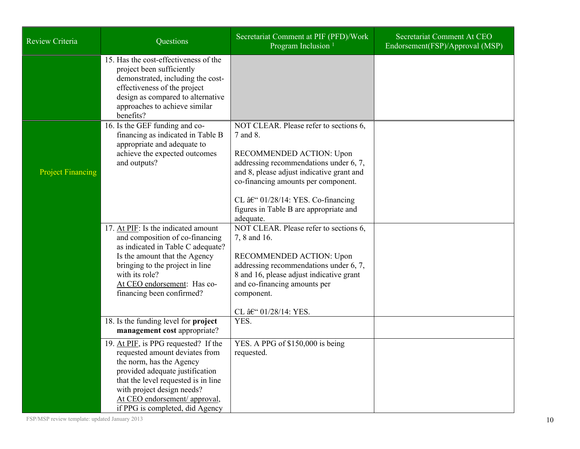| Review Criteria          | Questions                                                                                                                                                                                                                                                                      | Secretariat Comment at PIF (PFD)/Work<br>Program Inclusion <sup>1</sup>                                                                                                                                                                                                                                               | Secretariat Comment At CEO<br>Endorsement(FSP)/Approval (MSP) |
|--------------------------|--------------------------------------------------------------------------------------------------------------------------------------------------------------------------------------------------------------------------------------------------------------------------------|-----------------------------------------------------------------------------------------------------------------------------------------------------------------------------------------------------------------------------------------------------------------------------------------------------------------------|---------------------------------------------------------------|
|                          | 15. Has the cost-effectiveness of the<br>project been sufficiently<br>demonstrated, including the cost-<br>effectiveness of the project<br>design as compared to alternative<br>approaches to achieve similar<br>benefits?                                                     |                                                                                                                                                                                                                                                                                                                       |                                                               |
| <b>Project Financing</b> | 16. Is the GEF funding and co-<br>financing as indicated in Table B<br>appropriate and adequate to<br>achieve the expected outcomes<br>and outputs?                                                                                                                            | NOT CLEAR. Please refer to sections 6,<br>7 and 8.<br>RECOMMENDED ACTION: Upon<br>addressing recommendations under 6, 7,<br>and 8, please adjust indicative grant and<br>co-financing amounts per component.<br>CL $\hat{a}\in$ '' 01/28/14: YES. Co-financing<br>figures in Table B are appropriate and<br>adequate. |                                                               |
|                          | 17. At PIF: Is the indicated amount<br>and composition of co-financing<br>as indicated in Table C adequate?<br>Is the amount that the Agency<br>bringing to the project in line<br>with its role?<br>At CEO endorsement: Has co-<br>financing been confirmed?                  | NOT CLEAR. Please refer to sections 6,<br>7, 8 and 16.<br>RECOMMENDED ACTION: Upon<br>addressing recommendations under 6, 7,<br>8 and 16, please adjust indicative grant<br>and co-financing amounts per<br>component.<br>CL – 01/28/14: YES.                                                                         |                                                               |
|                          | 18. Is the funding level for <b>project</b><br>management cost appropriate?                                                                                                                                                                                                    | YES.                                                                                                                                                                                                                                                                                                                  |                                                               |
|                          | 19. At PIF, is PPG requested? If the<br>requested amount deviates from<br>the norm, has the Agency<br>provided adequate justification<br>that the level requested is in line<br>with project design needs?<br>At CEO endorsement/ approval,<br>if PPG is completed, did Agency | YES. A PPG of \$150,000 is being<br>requested.                                                                                                                                                                                                                                                                        |                                                               |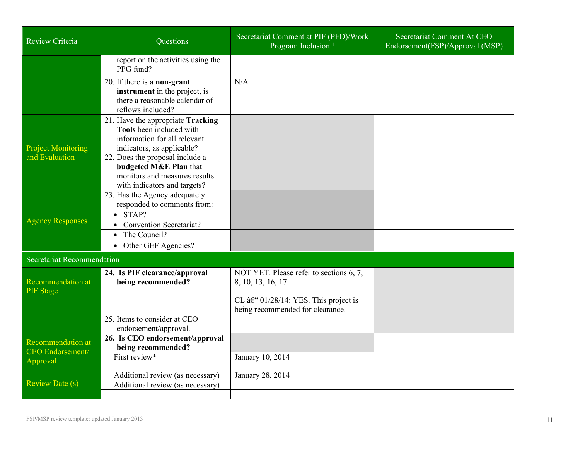| <b>Review Criteria</b>                              | <b>Ouestions</b>                                                                                                            | Secretariat Comment at PIF (PFD)/Work<br>Program Inclusion <sup>1</sup>                                        | Secretariat Comment At CEO<br>Endorsement(FSP)/Approval (MSP) |
|-----------------------------------------------------|-----------------------------------------------------------------------------------------------------------------------------|----------------------------------------------------------------------------------------------------------------|---------------------------------------------------------------|
|                                                     | report on the activities using the<br>PPG fund?                                                                             |                                                                                                                |                                                               |
|                                                     | 20. If there is a non-grant<br>instrument in the project, is<br>there a reasonable calendar of<br>reflows included?         | N/A                                                                                                            |                                                               |
| <b>Project Monitoring</b>                           | 21. Have the appropriate Tracking<br>Tools been included with<br>information for all relevant<br>indicators, as applicable? |                                                                                                                |                                                               |
| and Evaluation                                      | 22. Does the proposal include a<br>budgeted M&E Plan that<br>monitors and measures results<br>with indicators and targets?  |                                                                                                                |                                                               |
|                                                     | 23. Has the Agency adequately<br>responded to comments from:                                                                |                                                                                                                |                                                               |
| <b>Agency Responses</b>                             | $\bullet$ STAP?<br>• Convention Secretariat?<br>The Council?<br>$\bullet$<br>• Other GEF Agencies?                          |                                                                                                                |                                                               |
| Secretariat Recommendation                          |                                                                                                                             |                                                                                                                |                                                               |
| Recommendation at<br><b>PIF</b> Stage               | 24. Is PIF clearance/approval<br>being recommended?                                                                         | NOT YET. Please refer to sections 6, 7,<br>8, 10, 13, 16, 17<br>CL $\hat{a}\in$ 01/28/14: YES. This project is |                                                               |
|                                                     | 25. Items to consider at CEO<br>endorsement/approval.                                                                       | being recommended for clearance.                                                                               |                                                               |
| <b>Recommendation at</b><br><b>CEO</b> Endorsement/ | 26. Is CEO endorsement/approval<br>being recommended?                                                                       |                                                                                                                |                                                               |
| Approval                                            | First review*                                                                                                               | January 10, 2014                                                                                               |                                                               |
| <b>Review Date (s)</b>                              | Additional review (as necessary)                                                                                            | January 28, 2014                                                                                               |                                                               |
|                                                     | Additional review (as necessary)                                                                                            |                                                                                                                |                                                               |